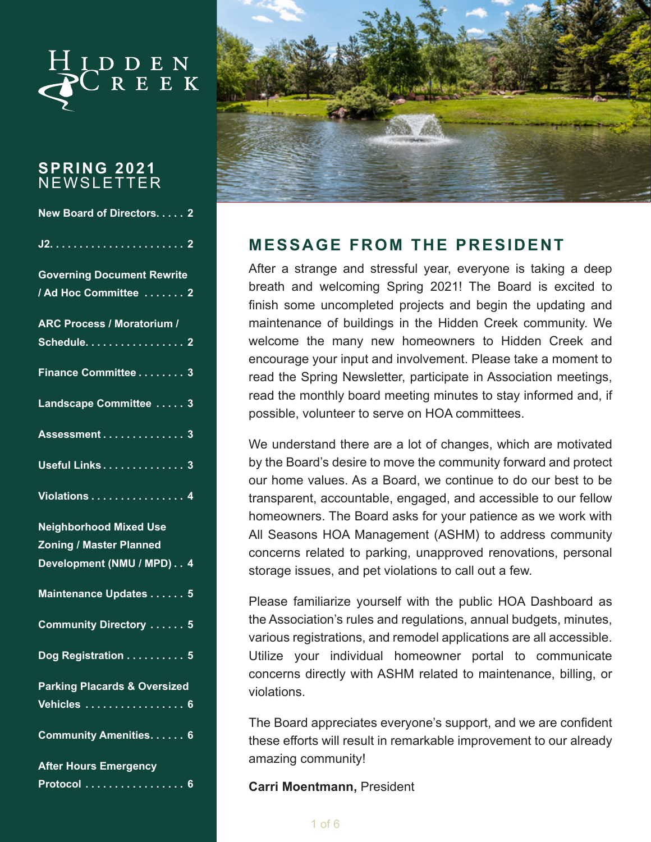

#### **SPRING 2021**  NEWSLETTER

| New Board of Directors. 2               |
|-----------------------------------------|
|                                         |
| <b>Governing Document Rewrite</b>       |
| / Ad Hoc Committee  2                   |
| <b>ARC Process / Moratorium /</b>       |
| Schedule. 2                             |
| Finance Committee 3                     |
| Landscape Committee 3                   |
| Assessment 3                            |
| Useful Links 3                          |
| Violations <del>.</del> . 4             |
| <b>Neighborhood Mixed Use</b>           |
| <b>Zoning / Master Planned</b>          |
| Development (NMU / MPD) 4               |
| Maintenance Updates 5                   |
| Community Directory  5                  |
| Dog Registration 5                      |
| <b>Parking Placards &amp; Oversized</b> |
| <u>Vehicles 6</u>                       |
| Community Amenities. 6                  |
| <b>After Hours Emergency</b>            |
| <u>Protocol 6</u>                       |



### **MESSAGE FROM THE PRESIDENT**

After a strange and stressful year, everyone is taking a deep breath and welcoming Spring 2021! The Board is excited to finish some uncompleted projects and begin the updating and maintenance of buildings in the Hidden Creek community. We welcome the many new homeowners to Hidden Creek and encourage your input and involvement. Please take a moment to read the Spring Newsletter, participate in Association meetings, read the monthly board meeting minutes to stay informed and, if possible, volunteer to serve on HOA committees.

We understand there are a lot of changes, which are motivated by the Board's desire to move the community forward and protect our home values. As a Board, we continue to do our best to be transparent, accountable, engaged, and accessible to our fellow homeowners. The Board asks for your patience as we work with All Seasons HOA Management (ASHM) to address community concerns related to parking, unapproved renovations, personal storage issues, and pet violations to call out a few.

Please familiarize yourself with the public HOA Dashboard as the Association's rules and regulations, annual budgets, minutes, various registrations, and remodel applications are all accessible. Utilize your individual homeowner portal to communicate concerns directly with ASHM related to maintenance, billing, or violations.

The Board appreciates everyone's support, and we are confident these efforts will result in remarkable improvement to our already amazing community!

#### **Carri Moentmann,** President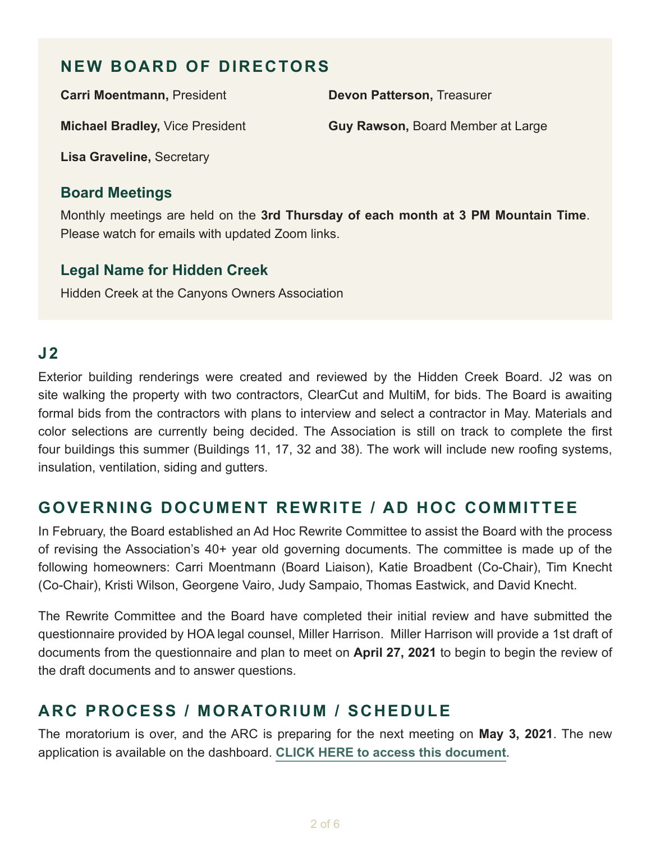## <span id="page-1-0"></span>**NEW BOARD OF DIRECTORS**

**Carri Moentmann,** President

**Devon Patterson,** Treasurer

**Michael Bradley,** Vice President

**Guy Rawson,** Board Member at Large

**Lisa Graveline,** Secretary

#### **Board Meetings**

Monthly meetings are held on the **3rd Thursday of each month at 3 PM Mountain Time**. Please watch for emails with updated Zoom links.

#### **Legal Name for Hidden Creek**

Hidden Creek at the Canyons Owners Association

### **J2**

Exterior building renderings were created and reviewed by the Hidden Creek Board. J2 was on site walking the property with two contractors, ClearCut and MultiM, for bids. The Board is awaiting formal bids from the contractors with plans to interview and select a contractor in May. Materials and color selections are currently being decided. The Association is still on track to complete the first four buildings this summer (Buildings 11, 17, 32 and 38). The work will include new roofing systems, insulation, ventilation, siding and gutters.

## **GOVERNING DOCUMENT REWRITE / AD HOC COMMITTEE**

In February, the Board established an Ad Hoc Rewrite Committee to assist the Board with the process of revising the Association's 40+ year old governing documents. The committee is made up of the following homeowners: Carri Moentmann (Board Liaison), Katie Broadbent (Co-Chair), Tim Knecht (Co-Chair), Kristi Wilson, Georgene Vairo, Judy Sampaio, Thomas Eastwick, and David Knecht.

The Rewrite Committee and the Board have completed their initial review and have submitted the questionnaire provided by HOA legal counsel, Miller Harrison. Miller Harrison will provide a 1st draft of documents from the questionnaire and plan to meet on **April 27, 2021** to begin to begin the review of the draft documents and to answer questions.

# **ARC PROCESS / MORATORIUM / SCHEDULE**

The moratorium is over, and the ARC is preparing for the next meeting on **May 3, 2021**. The new application is available on the dashboard. **[CLICK HERE to access this document](https://www.allseasonsresortlodging.com/wp-content/uploads/2021/04/Hidden-Creek-process-and-application-for-dashboard.pdf)**.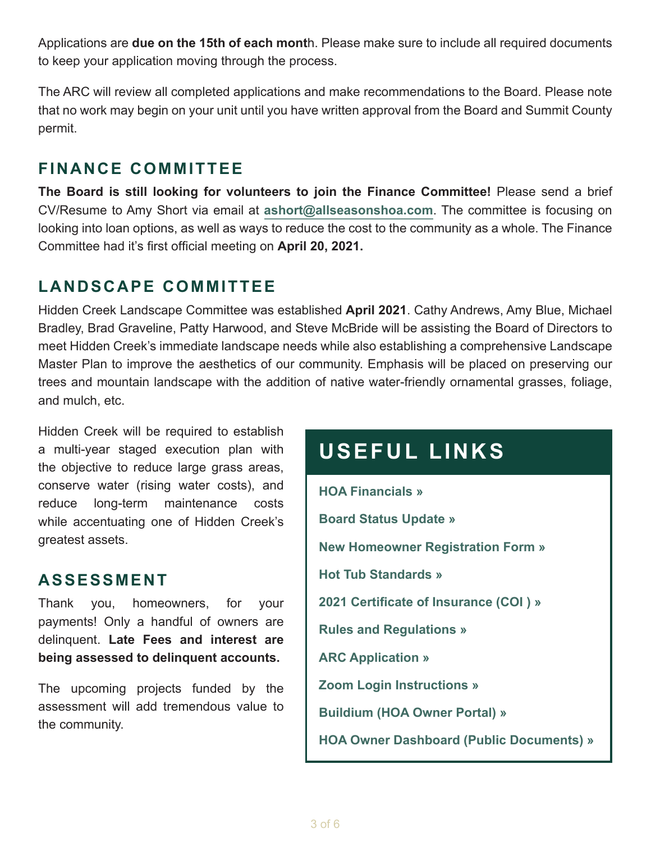<span id="page-2-0"></span>Applications are **due on the 15th of each mont**h. Please make sure to include all required documents to keep your application moving through the process.

The ARC will review all completed applications and make recommendations to the Board. Please note that no work may begin on your unit until you have written approval from the Board and Summit County permit.

## **FINANCE COMMITTEE**

**The Board is still looking for volunteers to join the Finance Committee!** Please send a brief CV/Resume to Amy Short via email at **[ashort@allseasonshoa.com](mailto:ashort@allseasonshoa.com)**. The committee is focusing on looking into loan options, as well as ways to reduce the cost to the community as a whole. The Finance Committee had it's first official meeting on **April 20, 2021.**

# **LANDSCAPE COMMITTEE**

Hidden Creek Landscape Committee was established **April 2021**. Cathy Andrews, Amy Blue, Michael Bradley, Brad Graveline, Patty Harwood, and Steve McBride will be assisting the Board of Directors to meet Hidden Creek's immediate landscape needs while also establishing a comprehensive Landscape Master Plan to improve the aesthetics of our community. Emphasis will be placed on preserving our trees and mountain landscape with the addition of native water-friendly ornamental grasses, foliage, and mulch, etc.

Hidden Creek will be required to establish a multi-year staged execution plan with the objective to reduce large grass areas, conserve water (rising water costs), and reduce long-term maintenance costs while accentuating one of Hidden Creek's greatest assets.

### **ASSESSMENT**

Thank you, homeowners, for your payments! Only a handful of owners are delinquent. **Late Fees and interest are being assessed to delinquent accounts.**

The upcoming projects funded by the assessment will add tremendous value to the community.

# **USEFUL LINKS**

**[HOA Financials »](https://www.allseasonsresortlodging.com/wp-content/uploads/2021/03/2021-HCH-Budget-Final.pdf) [Board Status Update »](https://www.allseasonsresortlodging.com/wp-content/uploads/2021/04/Hidden-Creek-Homeowners-Association-BOD-Status-Update-2.4.2021.pdf) [New Homeowner Registration Form »](https://www.allseasonsresortlodging.com/wp-content/uploads/2020/02/Hidden-Creek-Owner-Registration-Form.pdf) [Hot Tub Standards »](https://www.allseasonsresortlodging.com/wp-content/uploads/2019/02/Hot-TubSpa-Installation-Agreement-Final.pdf) [2021 Certificate of Insurance \(COI \) »](https://www.allseasonsresortlodging.com/wp-content/uploads/2020/10/XX_Hidden-Creek-HO_2021-2022-Certi_2-24-2021_1776829128.pdf) [Rules and Regulations »](https://www.allseasonsresortlodging.com/wp-content/uploads/2021/04/Rules-and-Regulations-3.28.2021.pdf) [ARC Application »](https://www.allseasonsresortlodging.com/wp-content/uploads/2021/04/Hidden-Creek-process-and-application-for-dashboard.pdf) [Zoom Login Instructions »](https://www.allseasonsresortlodging.com/wp-content/uploads/2021/04/How-to-Join-a-Zoom-Meeting.pdf) [Buildium \(HOA Owner Portal\) »](https://allseasonsresortlodging.managebuilding.com/Resident/apps/portal/login) [HOA Owner Dashboard \(Public Documents\) »](https://www.allseasonsresortlodging.com/hoa/hidden-creek/)**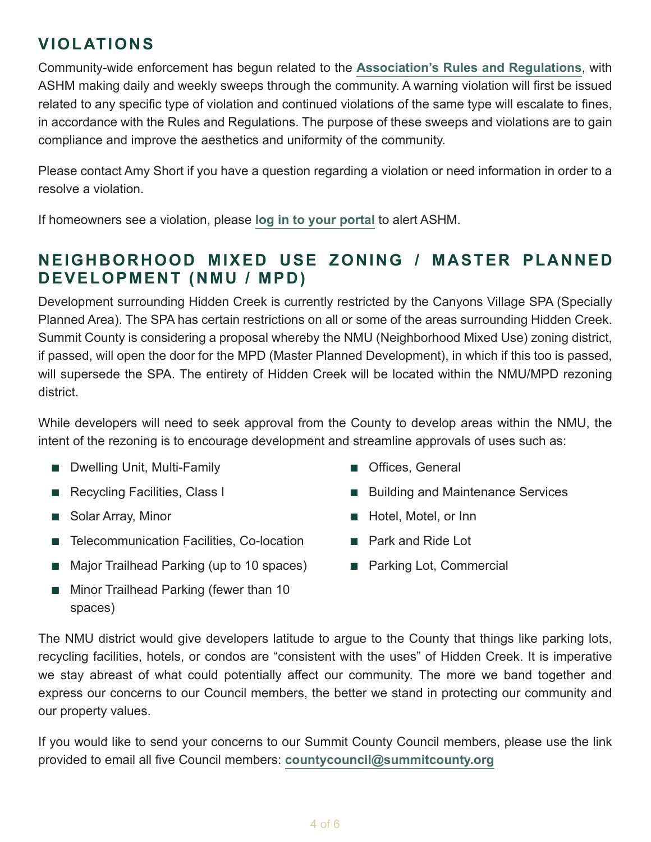## <span id="page-3-0"></span>**VIOLATIONS**

Community-wide enforcement has begun related to the **[Association's Rules and Regulations](https://www.allseasonsresortlodging.com/wp-content/uploads/2021/04/Rules-and-Regulations-3.28.2021.pdf)**, with ASHM making daily and weekly sweeps through the community. A warning violation will first be issued related to any specific type of violation and continued violations of the same type will escalate to fines, in accordance with the Rules and Regulations. The purpose of these sweeps and violations are to gain compliance and improve the aesthetics and uniformity of the community.

Please contact Amy Short if you have a question regarding a violation or need information in order to a resolve a violation.

If homeowners see a violation, please **[log in to your portal](https://allseasonsresortlodging.managebuilding.com/Resident/apps/portal/login)** to alert ASHM.

## **NEIGHBORHOOD MIXED USE ZONING / MASTER PLANNED DEVELOPMENT (NMU / MPD)**

Development surrounding Hidden Creek is currently restricted by the Canyons Village SPA (Specially Planned Area). The SPA has certain restrictions on all or some of the areas surrounding Hidden Creek. Summit County is considering a proposal whereby the NMU (Neighborhood Mixed Use) zoning district, if passed, will open the door for the MPD (Master Planned Development), in which if this too is passed, will supersede the SPA. The entirety of Hidden Creek will be located within the NMU/MPD rezoning district.

While developers will need to seek approval from the County to develop areas within the NMU, the intent of the rezoning is to encourage development and streamline approvals of uses such as:

- Dwelling Unit, Multi-Family
- Recycling Facilities, Class I
- Solar Array, Minor
- Telecommunication Facilities, Co-location
- Major Trailhead Parking (up to 10 spaces)
- Minor Trailhead Parking (fewer than 10 spaces)
- Offices, General
- Building and Maintenance Services
- Hotel, Motel, or Inn
- Park and Ride Lot
- Parking Lot, Commercial

The NMU district would give developers latitude to argue to the County that things like parking lots, recycling facilities, hotels, or condos are "consistent with the uses" of Hidden Creek. It is imperative we stay abreast of what could potentially affect our community. The more we band together and express our concerns to our Council members, the better we stand in protecting our community and our property values.

If you would like to send your concerns to our Summit County Council members, please use the link provided to email all five Council members: **[countycouncil@summitcounty.org](mailto:countycouncil@summitcounty.org)**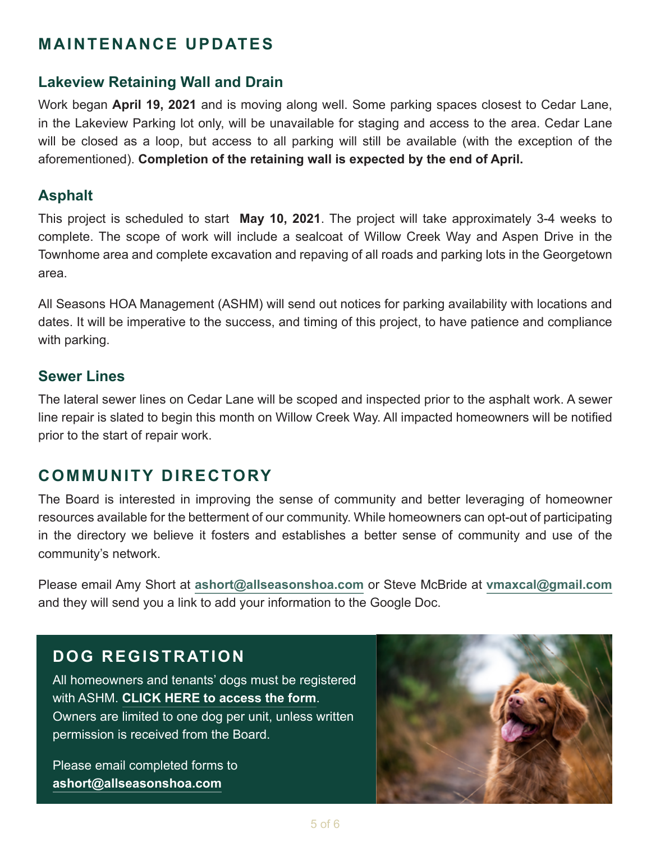## <span id="page-4-0"></span>**MAINTENANCE UPDATES**

#### **Lakeview Retaining Wall and Drain**

Work began **April 19, 2021** and is moving along well. Some parking spaces closest to Cedar Lane, in the Lakeview Parking lot only, will be unavailable for staging and access to the area. Cedar Lane will be closed as a loop, but access to all parking will still be available (with the exception of the aforementioned). **Completion of the retaining wall is expected by the end of April.** 

#### **Asphalt**

This project is scheduled to start **May 10, 2021**. The project will take approximately 3-4 weeks to complete. The scope of work will include a sealcoat of Willow Creek Way and Aspen Drive in the Townhome area and complete excavation and repaving of all roads and parking lots in the Georgetown area.

All Seasons HOA Management (ASHM) will send out notices for parking availability with locations and dates. It will be imperative to the success, and timing of this project, to have patience and compliance with parking.

#### **Sewer Lines**

The lateral sewer lines on Cedar Lane will be scoped and inspected prior to the asphalt work. A sewer line repair is slated to begin this month on Willow Creek Way. All impacted homeowners will be notified prior to the start of repair work.

### **COMMUNITY DIRECTORY**

The Board is interested in improving the sense of community and better leveraging of homeowner resources available for the betterment of our community. While homeowners can opt-out of participating in the directory we believe it fosters and establishes a better sense of community and use of the community's network.

Please email Amy Short at **[ashort@allseasonshoa.com](mailto:ashort@allseasonshoa.com)** or Steve McBride at **[vmaxcal@gmail.com](mailto:vmaxcal@gmail.com)** and they will send you a link to add your information to the Google Doc.

# **DOG REGISTRATION**

All homeowners and tenants' dogs must be registered with ASHM. **[CLICK HERE to access the form](https://www.allseasonsresortlodging.com/wp-content/uploads/2020/03/Hidden-Creek-Dog-Registration.pdf)**. Owners are limited to one dog per unit, unless written permission is received from the Board.

Please email completed forms to **[ashort@allseasonshoa.com](mailto:ashort@allseasonshoa.com)**